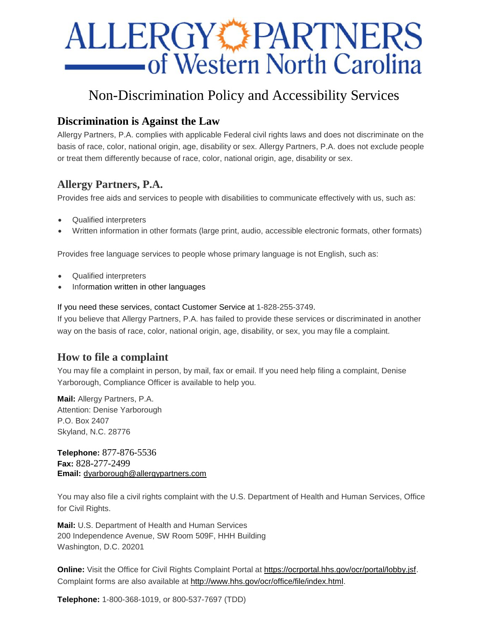# **ALLERGY PARTNERS** -of Western North Carolina

# Non-Discrimination Policy and Accessibility Services

# **Discrimination is Against the Law**

Allergy Partners, P.A. complies with applicable Federal civil rights laws and does not discriminate on the basis of race, color, national origin, age, disability or sex. Allergy Partners, P.A. does not exclude people or treat them differently because of race, color, national origin, age, disability or sex.

# **Allergy Partners, P.A.**

Provides free aids and services to people with disabilities to communicate effectively with us, such as:

- Qualified interpreters
- Written information in other formats (large print, audio, accessible electronic formats, other formats)

Provides free language services to people whose primary language is not English, such as:

- Qualified interpreters
- Information written in other languages

If you need these services, contact Customer Service at 1-828-255-3749.

If you believe that Allergy Partners, P.A. has failed to provide these services or discriminated in another way on the basis of race, color, national origin, age, disability, or sex, you may file a complaint.

## **How to file a complaint**

You may file a complaint in person, by mail, fax or email. If you need help filing a complaint, Denise Yarborough, Compliance Officer is available to help you.

**Mail:** Allergy Partners, P.A. Attention: Denise Yarborough P.O. Box 2407 Skyland, N.C. 28776

**Telephone:** 877-876-5536 **Fax:** 828-277-2499 **Email:** [dyarborough@allergypartners.com](mailto:dyarborough@allergypartners.com)

You may also file a civil rights complaint with the U.S. Department of Health and Human Services, Office for Civil Rights.

**Mail:** U.S. Department of Health and Human Services 200 Independence Avenue, SW Room 509F, HHH Building Washington, D.C. 20201

**Online:** Visit the Office for Civil Rights Complaint Portal at [https://ocrportal.hhs.gov/ocr/portal/lobby.jsf.](https://ocrportal.hhs.gov/ocr/portal/lobby.jsf) Complaint forms are also available at [http://www.hhs.gov/ocr/office/file/index.html.](http://www.hhs.gov/ocr/office/file/index.html)

**Telephone:** 1-800-368-1019, or 800-537-7697 (TDD)